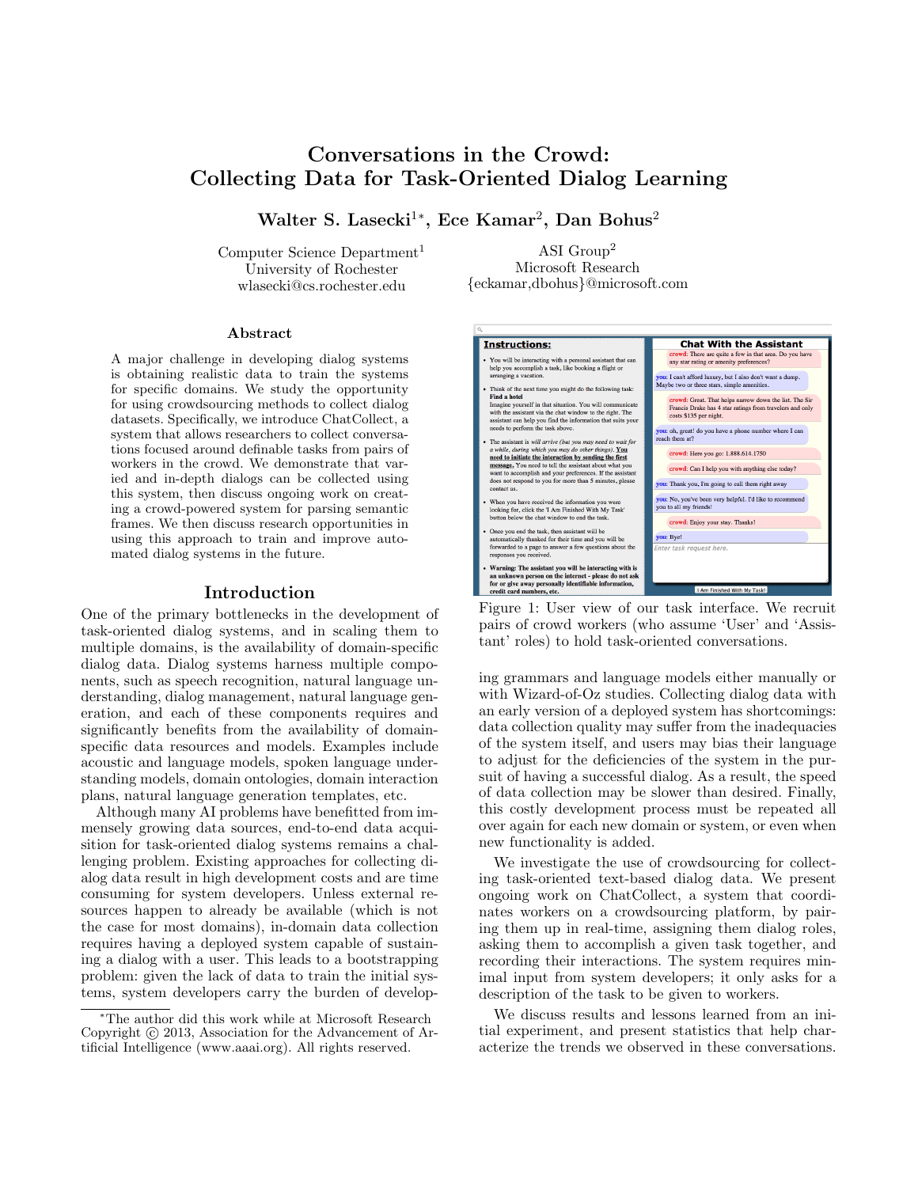# Conversations in the Crowd: Collecting Data for Task-Oriented Dialog Learning

Walter S. Lasecki<sup>1</sup>\*, Ece Kamar<sup>2</sup>, Dan Bohus<sup>2</sup>

Computer Science Department<sup>1</sup> University of Rochester wlasecki@cs.rochester.edu

ASI Group<sup>2</sup> Microsoft Research {eckamar,dbohus}@microsoft.com

#### Abstract

A major challenge in developing dialog systems is obtaining realistic data to train the systems for specific domains. We study the opportunity for using crowdsourcing methods to collect dialog datasets. Specifically, we introduce ChatCollect, a system that allows researchers to collect conversations focused around definable tasks from pairs of workers in the crowd. We demonstrate that varied and in-depth dialogs can be collected using this system, then discuss ongoing work on creating a crowd-powered system for parsing semantic frames. We then discuss research opportunities in using this approach to train and improve automated dialog systems in the future.

#### Introduction

One of the primary bottlenecks in the development of task-oriented dialog systems, and in scaling them to multiple domains, is the availability of domain-specific dialog data. Dialog systems harness multiple components, such as speech recognition, natural language understanding, dialog management, natural language generation, and each of these components requires and significantly benefits from the availability of domainspecific data resources and models. Examples include acoustic and language models, spoken language understanding models, domain ontologies, domain interaction plans, natural language generation templates, etc.

Although many AI problems have benefitted from immensely growing data sources, end-to-end data acquisition for task-oriented dialog systems remains a challenging problem. Existing approaches for collecting dialog data result in high development costs and are time consuming for system developers. Unless external resources happen to already be available (which is not the case for most domains), in-domain data collection requires having a deployed system capable of sustaining a dialog with a user. This leads to a bootstrapping problem: given the lack of data to train the initial systems, system developers carry the burden of develop-





ing grammars and language models either manually or with Wizard-of-Oz studies. Collecting dialog data with an early version of a deployed system has shortcomings: data collection quality may suffer from the inadequacies of the system itself, and users may bias their language to adjust for the deficiencies of the system in the pursuit of having a successful dialog. As a result, the speed of data collection may be slower than desired. Finally, this costly development process must be repeated all over again for each new domain or system, or even when new functionality is added.

We investigate the use of crowdsourcing for collecting task-oriented text-based dialog data. We present ongoing work on ChatCollect, a system that coordinates workers on a crowdsourcing platform, by pairing them up in real-time, assigning them dialog roles, asking them to accomplish a given task together, and recording their interactions. The system requires minimal input from system developers; it only asks for a description of the task to be given to workers.

We discuss results and lessons learned from an initial experiment, and present statistics that help characterize the trends we observed in these conversations.

<sup>∗</sup>The author did this work while at Microsoft Research Copyright (c) 2013, Association for the Advancement of Artificial Intelligence (www.aaai.org). All rights reserved.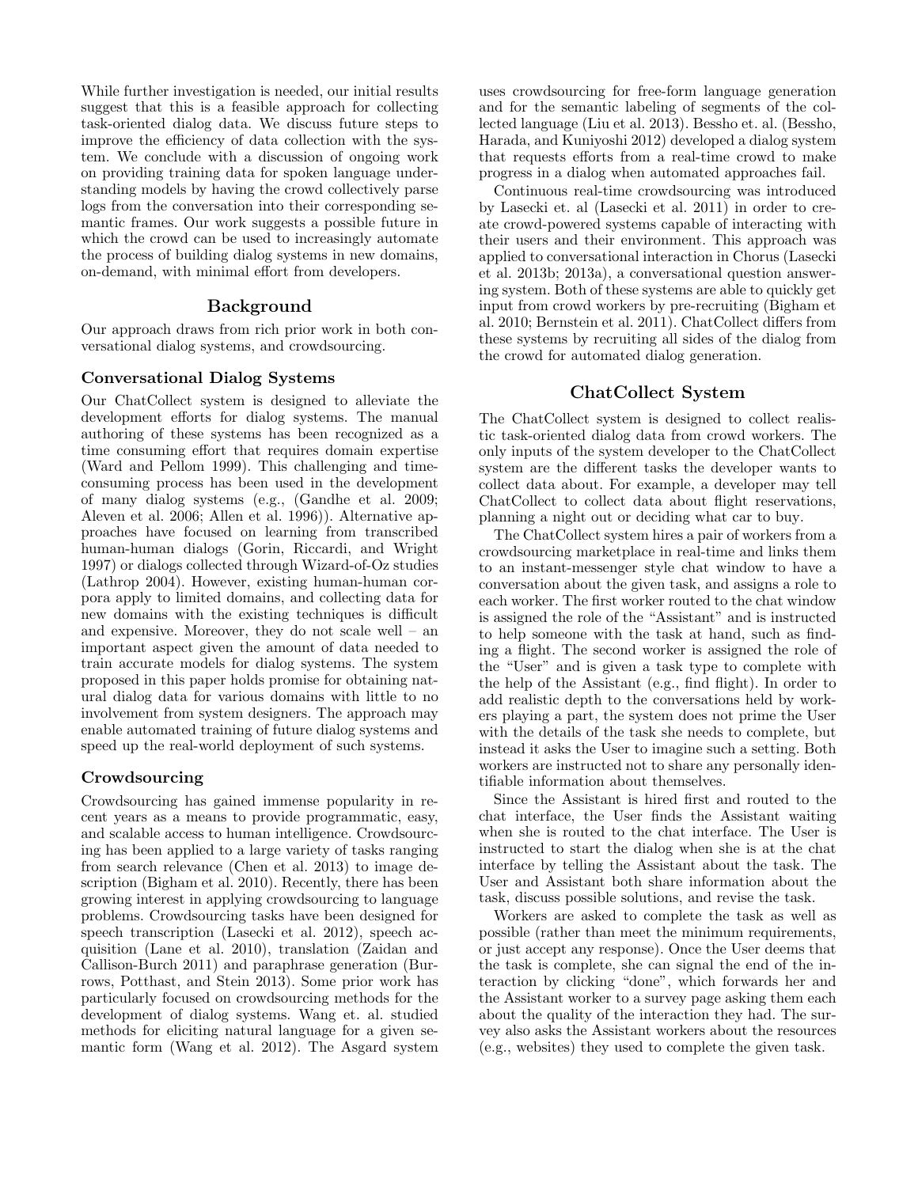While further investigation is needed, our initial results suggest that this is a feasible approach for collecting task-oriented dialog data. We discuss future steps to improve the efficiency of data collection with the system. We conclude with a discussion of ongoing work on providing training data for spoken language understanding models by having the crowd collectively parse logs from the conversation into their corresponding semantic frames. Our work suggests a possible future in which the crowd can be used to increasingly automate the process of building dialog systems in new domains, on-demand, with minimal effort from developers.

## Background

Our approach draws from rich prior work in both conversational dialog systems, and crowdsourcing.

#### Conversational Dialog Systems

Our ChatCollect system is designed to alleviate the development efforts for dialog systems. The manual authoring of these systems has been recognized as a time consuming effort that requires domain expertise (Ward and Pellom 1999). This challenging and timeconsuming process has been used in the development of many dialog systems (e.g., (Gandhe et al. 2009; Aleven et al. 2006; Allen et al. 1996)). Alternative approaches have focused on learning from transcribed human-human dialogs (Gorin, Riccardi, and Wright 1997) or dialogs collected through Wizard-of-Oz studies (Lathrop 2004). However, existing human-human corpora apply to limited domains, and collecting data for new domains with the existing techniques is difficult and expensive. Moreover, they do not scale well – an important aspect given the amount of data needed to train accurate models for dialog systems. The system proposed in this paper holds promise for obtaining natural dialog data for various domains with little to no involvement from system designers. The approach may enable automated training of future dialog systems and speed up the real-world deployment of such systems.

## Crowdsourcing

Crowdsourcing has gained immense popularity in recent years as a means to provide programmatic, easy, and scalable access to human intelligence. Crowdsourcing has been applied to a large variety of tasks ranging from search relevance (Chen et al. 2013) to image description (Bigham et al. 2010). Recently, there has been growing interest in applying crowdsourcing to language problems. Crowdsourcing tasks have been designed for speech transcription (Lasecki et al. 2012), speech acquisition (Lane et al. 2010), translation (Zaidan and Callison-Burch 2011) and paraphrase generation (Burrows, Potthast, and Stein 2013). Some prior work has particularly focused on crowdsourcing methods for the development of dialog systems. Wang et. al. studied methods for eliciting natural language for a given semantic form (Wang et al. 2012). The Asgard system uses crowdsourcing for free-form language generation and for the semantic labeling of segments of the collected language (Liu et al. 2013). Bessho et. al. (Bessho, Harada, and Kuniyoshi 2012) developed a dialog system that requests efforts from a real-time crowd to make progress in a dialog when automated approaches fail.

Continuous real-time crowdsourcing was introduced by Lasecki et. al (Lasecki et al. 2011) in order to create crowd-powered systems capable of interacting with their users and their environment. This approach was applied to conversational interaction in Chorus (Lasecki et al. 2013b; 2013a), a conversational question answering system. Both of these systems are able to quickly get input from crowd workers by pre-recruiting (Bigham et al. 2010; Bernstein et al. 2011). ChatCollect differs from these systems by recruiting all sides of the dialog from the crowd for automated dialog generation.

## ChatCollect System

The ChatCollect system is designed to collect realistic task-oriented dialog data from crowd workers. The only inputs of the system developer to the ChatCollect system are the different tasks the developer wants to collect data about. For example, a developer may tell ChatCollect to collect data about flight reservations, planning a night out or deciding what car to buy.

The ChatCollect system hires a pair of workers from a crowdsourcing marketplace in real-time and links them to an instant-messenger style chat window to have a conversation about the given task, and assigns a role to each worker. The first worker routed to the chat window is assigned the role of the "Assistant" and is instructed to help someone with the task at hand, such as finding a flight. The second worker is assigned the role of the "User" and is given a task type to complete with the help of the Assistant (e.g., find flight). In order to add realistic depth to the conversations held by workers playing a part, the system does not prime the User with the details of the task she needs to complete, but instead it asks the User to imagine such a setting. Both workers are instructed not to share any personally identifiable information about themselves.

Since the Assistant is hired first and routed to the chat interface, the User finds the Assistant waiting when she is routed to the chat interface. The User is instructed to start the dialog when she is at the chat interface by telling the Assistant about the task. The User and Assistant both share information about the task, discuss possible solutions, and revise the task.

Workers are asked to complete the task as well as possible (rather than meet the minimum requirements, or just accept any response). Once the User deems that the task is complete, she can signal the end of the interaction by clicking "done", which forwards her and the Assistant worker to a survey page asking them each about the quality of the interaction they had. The survey also asks the Assistant workers about the resources (e.g., websites) they used to complete the given task.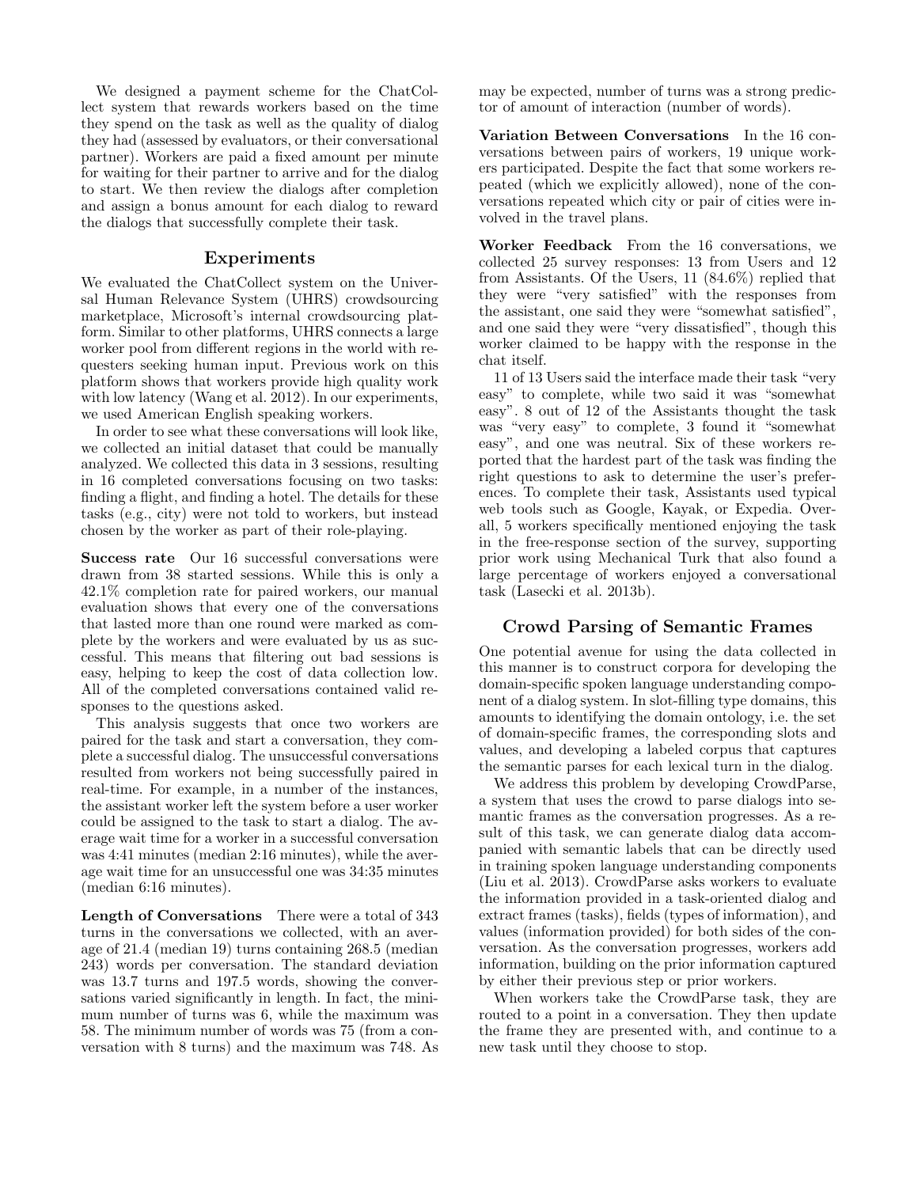We designed a payment scheme for the ChatCollect system that rewards workers based on the time they spend on the task as well as the quality of dialog they had (assessed by evaluators, or their conversational partner). Workers are paid a fixed amount per minute for waiting for their partner to arrive and for the dialog to start. We then review the dialogs after completion and assign a bonus amount for each dialog to reward the dialogs that successfully complete their task.

#### Experiments

We evaluated the ChatCollect system on the Universal Human Relevance System (UHRS) crowdsourcing marketplace, Microsoft's internal crowdsourcing platform. Similar to other platforms, UHRS connects a large worker pool from different regions in the world with requesters seeking human input. Previous work on this platform shows that workers provide high quality work with low latency (Wang et al. 2012). In our experiments, we used American English speaking workers.

In order to see what these conversations will look like, we collected an initial dataset that could be manually analyzed. We collected this data in 3 sessions, resulting in 16 completed conversations focusing on two tasks: finding a flight, and finding a hotel. The details for these tasks (e.g., city) were not told to workers, but instead chosen by the worker as part of their role-playing.

Success rate Our 16 successful conversations were drawn from 38 started sessions. While this is only a 42.1% completion rate for paired workers, our manual evaluation shows that every one of the conversations that lasted more than one round were marked as complete by the workers and were evaluated by us as successful. This means that filtering out bad sessions is easy, helping to keep the cost of data collection low. All of the completed conversations contained valid responses to the questions asked.

This analysis suggests that once two workers are paired for the task and start a conversation, they complete a successful dialog. The unsuccessful conversations resulted from workers not being successfully paired in real-time. For example, in a number of the instances, the assistant worker left the system before a user worker could be assigned to the task to start a dialog. The average wait time for a worker in a successful conversation was 4:41 minutes (median 2:16 minutes), while the average wait time for an unsuccessful one was 34:35 minutes (median 6:16 minutes).

Length of Conversations There were a total of 343 turns in the conversations we collected, with an average of 21.4 (median 19) turns containing 268.5 (median 243) words per conversation. The standard deviation was 13.7 turns and 197.5 words, showing the conversations varied significantly in length. In fact, the minimum number of turns was 6, while the maximum was 58. The minimum number of words was 75 (from a conversation with 8 turns) and the maximum was 748. As may be expected, number of turns was a strong predictor of amount of interaction (number of words).

Variation Between Conversations In the 16 conversations between pairs of workers, 19 unique workers participated. Despite the fact that some workers repeated (which we explicitly allowed), none of the conversations repeated which city or pair of cities were involved in the travel plans.

Worker Feedback From the 16 conversations, we collected 25 survey responses: 13 from Users and 12 from Assistants. Of the Users, 11 (84.6%) replied that they were "very satisfied" with the responses from the assistant, one said they were "somewhat satisfied", and one said they were "very dissatisfied", though this worker claimed to be happy with the response in the chat itself.

11 of 13 Users said the interface made their task "very easy" to complete, while two said it was "somewhat easy". 8 out of 12 of the Assistants thought the task was "very easy" to complete, 3 found it "somewhat easy", and one was neutral. Six of these workers reported that the hardest part of the task was finding the right questions to ask to determine the user's preferences. To complete their task, Assistants used typical web tools such as Google, Kayak, or Expedia. Overall, 5 workers specifically mentioned enjoying the task in the free-response section of the survey, supporting prior work using Mechanical Turk that also found a large percentage of workers enjoyed a conversational task (Lasecki et al. 2013b).

### Crowd Parsing of Semantic Frames

One potential avenue for using the data collected in this manner is to construct corpora for developing the domain-specific spoken language understanding component of a dialog system. In slot-filling type domains, this amounts to identifying the domain ontology, i.e. the set of domain-specific frames, the corresponding slots and values, and developing a labeled corpus that captures the semantic parses for each lexical turn in the dialog.

We address this problem by developing CrowdParse, a system that uses the crowd to parse dialogs into semantic frames as the conversation progresses. As a result of this task, we can generate dialog data accompanied with semantic labels that can be directly used in training spoken language understanding components (Liu et al. 2013). CrowdParse asks workers to evaluate the information provided in a task-oriented dialog and extract frames (tasks), fields (types of information), and values (information provided) for both sides of the conversation. As the conversation progresses, workers add information, building on the prior information captured by either their previous step or prior workers.

When workers take the CrowdParse task, they are routed to a point in a conversation. They then update the frame they are presented with, and continue to a new task until they choose to stop.